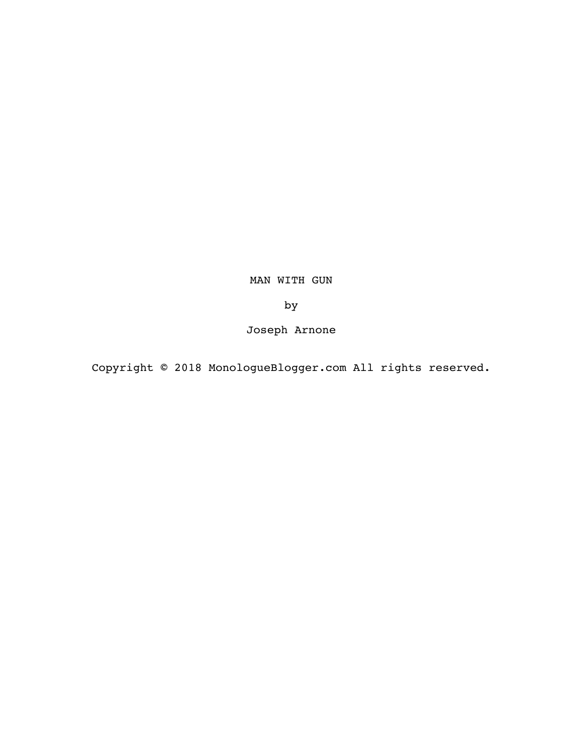MAN WITH GUN

by

Joseph Arnone

Copyright © 2018 MonologueBlogger.com All rights reserved.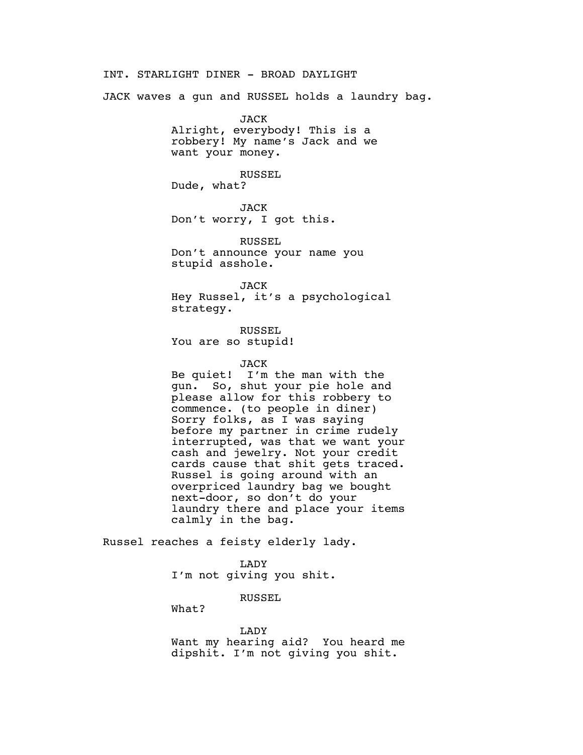INT. STARLIGHT DINER - BROAD DAYLIGHT

JACK waves a gun and RUSSEL holds a laundry bag.

JACK Alright, everybody! This is a robbery! My name's Jack and we want your money.

RUSSEL Dude, what?

JACK Don't worry, I got this.

RUSSEL Don't announce your name you stupid asshole.

JACK Hey Russel, it's a psychological strategy.

RUSSEL You are so stupid!

JACK

Be quiet! I'm the man with the gun. So, shut your pie hole and please allow for this robbery to commence. (to people in diner) Sorry folks, as I was saying before my partner in crime rudely interrupted, was that we want your cash and jewelry. Not your credit cards cause that shit gets traced. Russel is going around with an overpriced laundry bag we bought next-door, so don't do your laundry there and place your items calmly in the bag.

Russel reaches a feisty elderly lady.

LADY I'm not giving you shit.

RUSSEL

What?

LADY

Want my hearing aid? You heard me dipshit. I'm not giving you shit.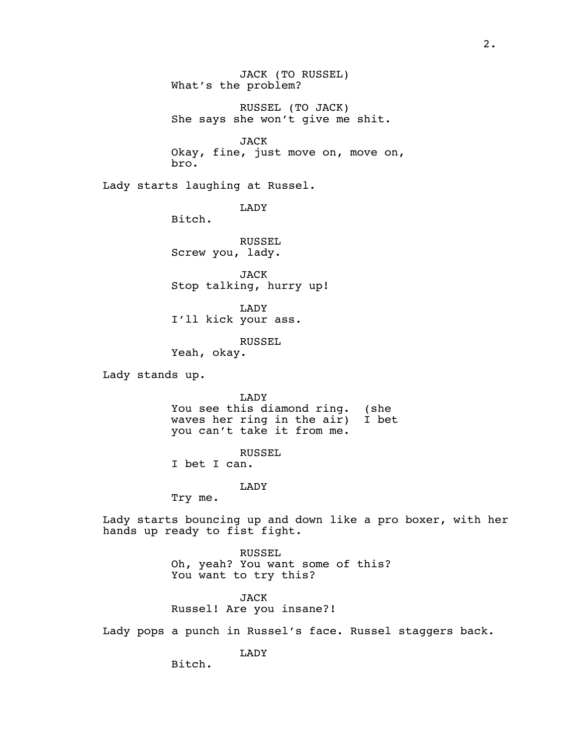JACK (TO RUSSEL) What's the problem?

RUSSEL (TO JACK) She says she won't give me shit.

JACK Okay, fine, just move on, move on, bro.

Lady starts laughing at Russel.

LADY

Bitch.

RUSSEL Screw you, lady.

JACK Stop talking, hurry up!

LADY I'll kick your ass.

RUSSEL

Yeah, okay.

Lady stands up.

LADY You see this diamond ring. (she waves her ring in the air) I bet you can't take it from me.

RUSSEL

I bet I can.

LADY

Try me.

Lady starts bouncing up and down like a pro boxer, with her hands up ready to fist fight.

> RUSSEL Oh, yeah? You want some of this? You want to try this?

JACK Russel! Are you insane?!

Lady pops a punch in Russel's face. Russel staggers back.

LADY

Bitch.